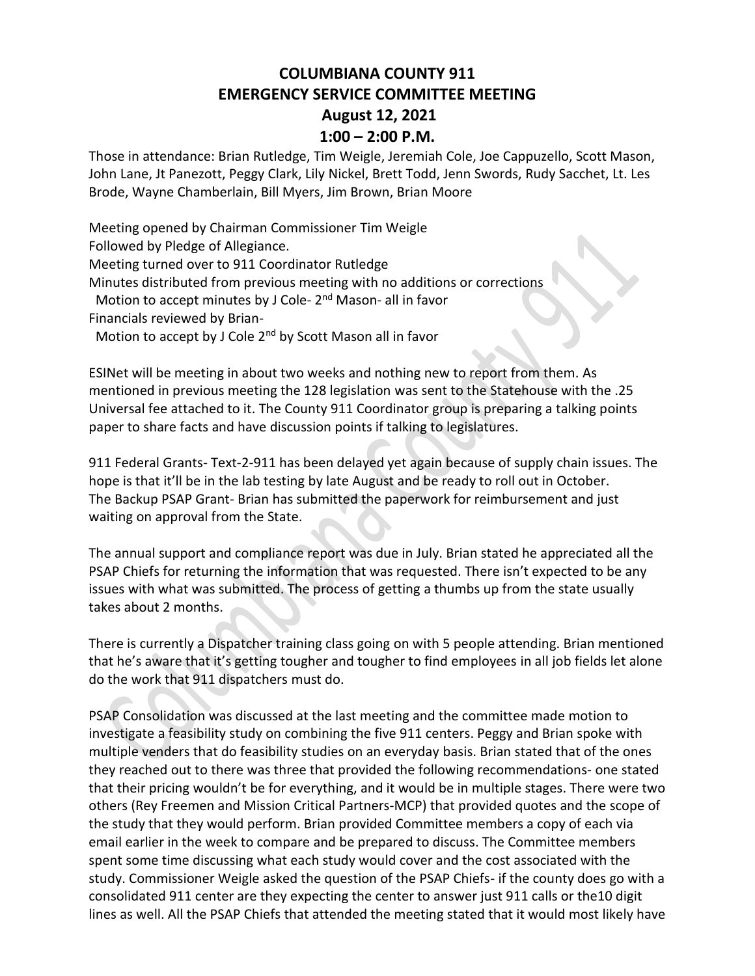## **COLUMBIANA COUNTY 911 EMERGENCY SERVICE COMMITTEE MEETING August 12, 2021**

## **1:00 – 2:00 P.M.**

Those in attendance: Brian Rutledge, Tim Weigle, Jeremiah Cole, Joe Cappuzello, Scott Mason, John Lane, Jt Panezott, Peggy Clark, Lily Nickel, Brett Todd, Jenn Swords, Rudy Sacchet, Lt. Les Brode, Wayne Chamberlain, Bill Myers, Jim Brown, Brian Moore

Meeting opened by Chairman Commissioner Tim Weigle Followed by Pledge of Allegiance. Meeting turned over to 911 Coordinator Rutledge Minutes distributed from previous meeting with no additions or corrections Motion to accept minutes by J Cole- 2<sup>nd</sup> Mason- all in favor Financials reviewed by Brian- Motion to accept by J Cole 2<sup>nd</sup> by Scott Mason all in favor

ESINet will be meeting in about two weeks and nothing new to report from them. As mentioned in previous meeting the 128 legislation was sent to the Statehouse with the .25 Universal fee attached to it. The County 911 Coordinator group is preparing a talking points paper to share facts and have discussion points if talking to legislatures.

911 Federal Grants- Text-2-911 has been delayed yet again because of supply chain issues. The hope is that it'll be in the lab testing by late August and be ready to roll out in October. The Backup PSAP Grant- Brian has submitted the paperwork for reimbursement and just waiting on approval from the State.

The annual support and compliance report was due in July. Brian stated he appreciated all the PSAP Chiefs for returning the information that was requested. There isn't expected to be any issues with what was submitted. The process of getting a thumbs up from the state usually takes about 2 months.

There is currently a Dispatcher training class going on with 5 people attending. Brian mentioned that he's aware that it's getting tougher and tougher to find employees in all job fields let alone do the work that 911 dispatchers must do.

PSAP Consolidation was discussed at the last meeting and the committee made motion to investigate a feasibility study on combining the five 911 centers. Peggy and Brian spoke with multiple venders that do feasibility studies on an everyday basis. Brian stated that of the ones they reached out to there was three that provided the following recommendations- one stated that their pricing wouldn't be for everything, and it would be in multiple stages. There were two others (Rey Freemen and Mission Critical Partners-MCP) that provided quotes and the scope of the study that they would perform. Brian provided Committee members a copy of each via email earlier in the week to compare and be prepared to discuss. The Committee members spent some time discussing what each study would cover and the cost associated with the study. Commissioner Weigle asked the question of the PSAP Chiefs- if the county does go with a consolidated 911 center are they expecting the center to answer just 911 calls or the10 digit lines as well. All the PSAP Chiefs that attended the meeting stated that it would most likely have